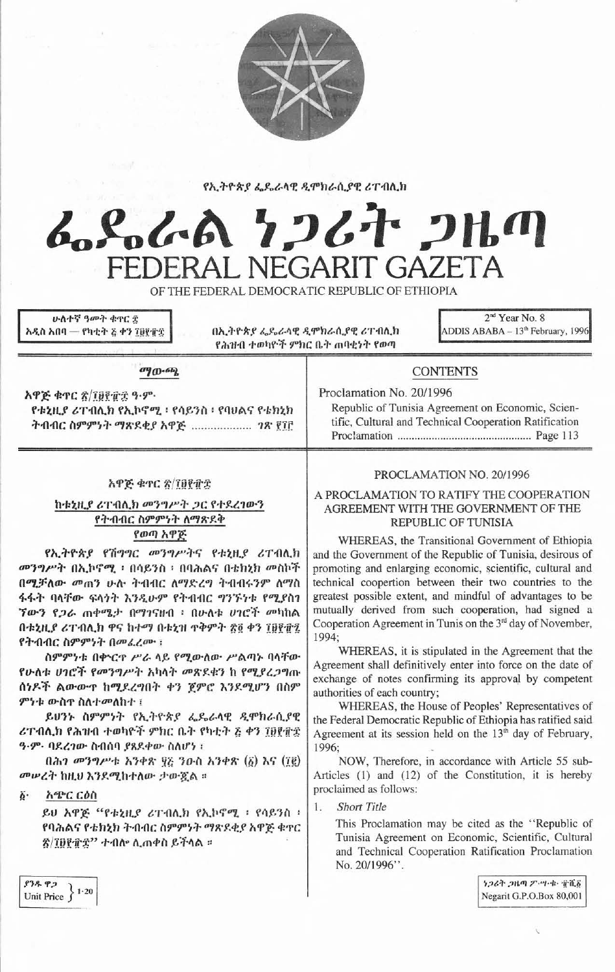

የኢትዮጵያ ፌዴራላዊ ዲሞክራሲያዊ ሪፐብሊክ

# んぺんへ ファムナ フルの **ERAL NEGARIT GAZETA**

OF THE FEDERAL DEMOCRATIC REPUBLIC OF ETHIOPIA

<u>ሁለተኛ ዓመት ቁዋር </u>ቿ አዲስ አበባ — የካቲት ፩ ቀን ፲፱፻፹፰

በኢትዮጵያ ፌዴራላዊ ዲሞክራሲያዊ ሪፐብሊክ የሕዝብ ተወካዮች ምክር ቤት ጠባቂነት የወጣ

2<sup>nd</sup> Year No. 8 ADDIS ABABA - 13<sup>th</sup> February, 1996

#### $^{109}$   $^{100}$

አዋጅ ቁጥር ጽ/፲፱፻፹፰ ዓ.ም. የቱኒዚያ ሪፐብሊክ የኢኮኖሚ ፡ የሳይንስ ፡ የባሀልና የቴክኒክ ትብብር ስምምነት ማጽዶቂያ አዋጅ ................... ገጽ ፻፲፫

#### አዋጅ ቁጥር ጽ/፲፱፻፹፰

# ከቱኒዚያ ሪፐብሊክ መንግሥት ጋር የተደረገውን የትብብር ስምምነት ስማጽደቅ የወጣ አዋጅ

የኢትዮጵያ የሽግግር መንግሥትና የቱኒዚያ ሪፐብሊክ መንግሥት በኢኮኖሚ ፡ በሳይንስ ፡ በባሕልና በቴክኒክ መስኮች በሚቻለው መጠን ሁሉ ትብብር ለማድረግ ትብብሩንም ለማስ ፋፋት ባላቸው ፍላጎት እንዲሁም የትብብር ግንኙነቱ የሚያስገ *ኘውን የጋራ ጠቀሜታ በማገናዘብ ፡ በሁለቱ ሀገሮች መካከ*ል በቱኒዚያ ሪፐብሊክ ዋና ከተማ በቱኒዝ ጥቅምት ፳፬ ቀን ፲፱፻፹፯ የትብብር ስምምነት በመፈረሙ ፣

ስምምነቱ በቍርዋ ሥራ ላይ የሚውለው ሥልጣኑ ባላቸው የሁለቱ ሀገሮች የመንግሥት አካላት መጽደቁን ከ የሚያረጋግጡ ሰነዶች ልውውዋ ከሚደረግበት ቀን ጀምሮ እንደሚሆን በስም ምንቱ ውስዋ ስለተመለከተ ፤

ይሀንኑ ስምምነት የኢትዮጵያ ፌዴራላዊ ዲሞክራሲያዊ ሪፐብሊክ የሕዝብ ተወካዮች ምክር ቤት የካቲት ፩ ቀን ፲፱፻፹፰ ዓ.ም. ባደረገው ስብሰባ ያጸደቀው ስለሆነ ፡

በሕገ መንግሥቱ እንቀጽ ፶፩ ንዑስ አንቀጽ  $(\delta)$  እና  $(Tg)$ መሠረት ከዚህ እንደሚከተለው ታውጇል ።

አጭር ርዕስ δ.

> ይሀ አዋጅ "የቱኒዚያ ሪፐብሊክ የኢኮኖሚ ፡ የሳይንስ ፡ የባሕልና የቴክኒክ ትብብር ስምምነት ማጽደቂያ አዋጅ ቁዋር ጽ/፲፱፻፹፰'' ተብሎ ሲጠቀስ ይችላል ።

# **CONTENTS**

Proclamation No. 20/1996

Republic of Tunisia Agreement on Economic, Scientific, Cultural and Technical Cooperation Ratification 

# PROCLAMATION NO. 20/1996

### A PROCLAMATION TO RATIFY THE COOPERATION AGREEMENT WITH THE GOVERNMENT OF THE **REPUBLIC OF TUNISIA**

WHEREAS, the Transitional Government of Ethiopia and the Government of the Republic of Tunisia, desirous of promoting and enlarging economic, scientific, cultural and technical coopertion between their two countries to the greatest possible extent, and mindful of advantages to be mutually derived from such cooperation, had signed a Cooperation Agreement in Tunis on the 3<sup>rd</sup> day of November, 1994;

WHEREAS, it is stipulated in the Agreement that the Agreement shall definitively enter into force on the date of exchange of notes confirming its approval by competent authorities of each country;

WHEREAS, the House of Peoples' Representatives of the Federal Democratic Republic of Ethiopia has ratified said Agreement at its session held on the 13<sup>th</sup> day of February, 1996;

NOW, Therefore, in accordance with Article 55 sub-Articles (1) and (12) of the Constitution, it is hereby proclaimed as follows:

**Short Title** 1.

> This Proclamation may be cited as the "Republic of Tunisia Agreement on Economic, Scientific, Cultural and Technical Cooperation Ratification Proclamation No. 20/1996".

> > ነጋሪት ጋዜጣ ፖ…ግ•ቁ• ተሺδ Negarit G.P.O.Box 80,001

 $93.892$ Unit Price  $\left\{ \begin{array}{c} 1.20 \\ 1.20 \end{array} \right\}$